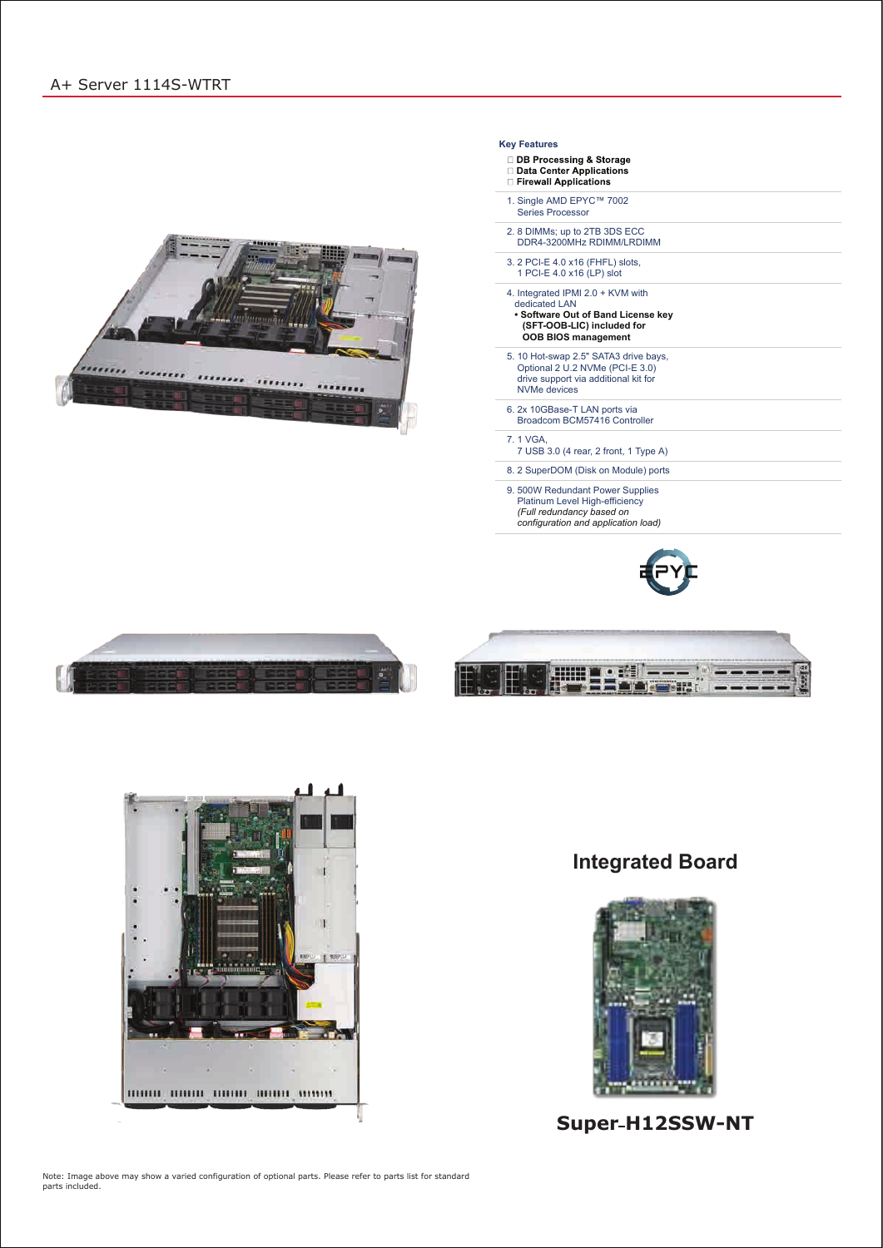# **Integrated Board**



# Super-H12SSW-NT

Note: Image above may show a varied configuration of optional parts. Please refer to parts list for standard parts included.

#### **Key Features**

- **DB Processing & Storage** Data Center Applications
- **Exercise Entrancement** Applications
- 1. Single AMD EPYC™ 7002 Series Processor
- 2. 8 DIMMs; up to 2TB 3DS ECC DDR4-3200MHz RDIMM/LRDIMM
- 3. 2 PCI-E 4.0 x16 (FHFL) slots, 1 PCI-E 4.0 x16 (LP) slot
- 4. Integrated IPMI 2.0 + KVM with dedicated LAN
- **Software Out of Band License key (SFT-OOB-LIC) included for OOB BIOS management**
- 5. 10 Hot-swap 2.5" SATA3 drive bays, Optional 2 U.2 NVMe (PCI-E 3.0) drive support via additional kit for NVMe devices
- 6. 2x 10GBase-T LAN ports via Broadcom BCM57416 Controller
- 7. 1 VGA, 7 USB 3.0 (4 rear, 2 front, 1 Type A)
- 8. 2 SuperDOM (Disk on Module) ports
- 9. 500W Redundant Power Supplies Platinum Level High-efficiency *(Full redundancy based on configuration and application load)*









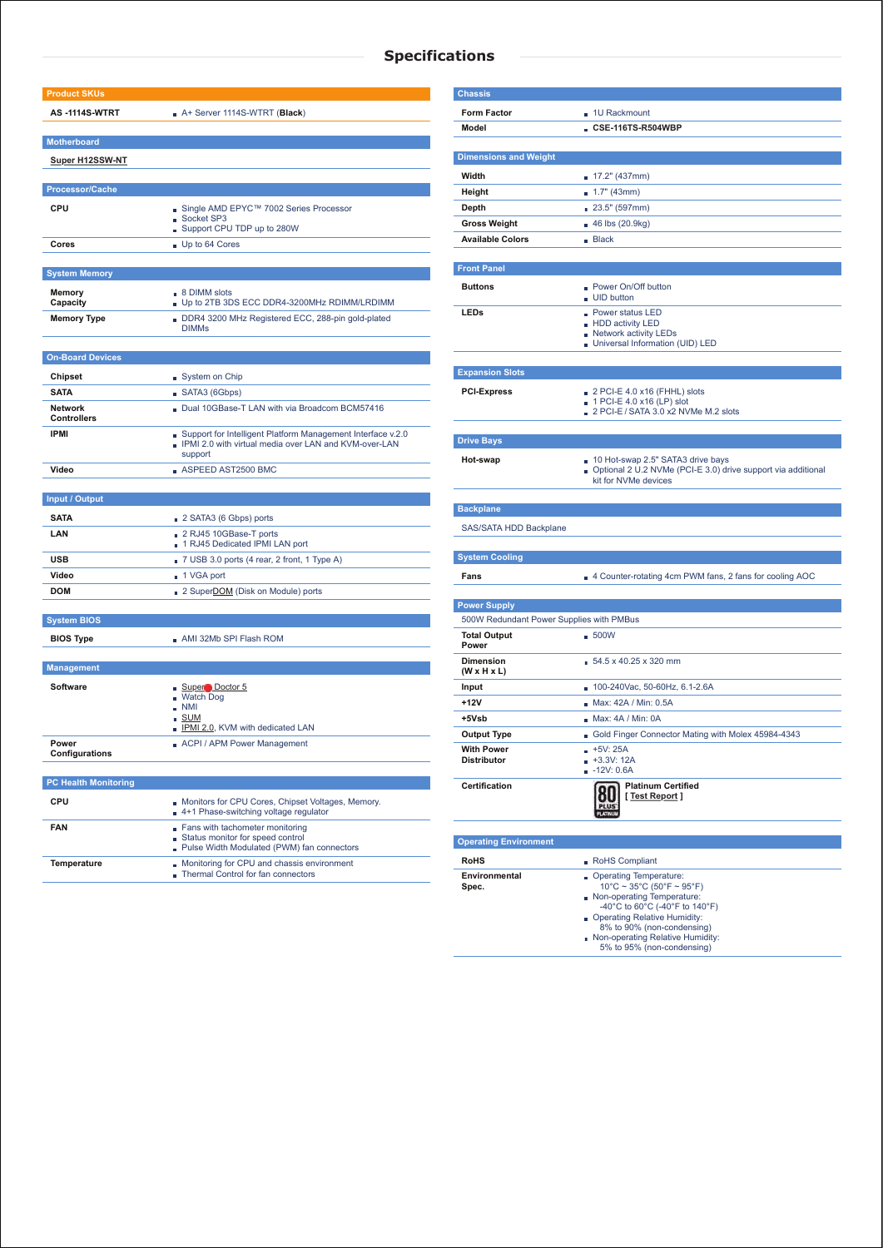## **Specifications**

| <b>Product SKUs</b>         |                                                                                                                        |  |  |  |  |
|-----------------------------|------------------------------------------------------------------------------------------------------------------------|--|--|--|--|
| <b>AS-1114S-WTRT</b>        | A+ Server 1114S-WTRT (Black)                                                                                           |  |  |  |  |
|                             |                                                                                                                        |  |  |  |  |
| <b>Motherboard</b>          |                                                                                                                        |  |  |  |  |
| <b>Super H12SSW-NT</b>      |                                                                                                                        |  |  |  |  |
|                             |                                                                                                                        |  |  |  |  |
| <b>Processor/Cache</b>      |                                                                                                                        |  |  |  |  |
| <b>CPU</b>                  | ■ Single AMD EPYC™ 7002 Series Processor                                                                               |  |  |  |  |
|                             | Socket SP3<br>Support CPU TDP up to 280W                                                                               |  |  |  |  |
| Cores                       | Up to 64 Cores                                                                                                         |  |  |  |  |
|                             |                                                                                                                        |  |  |  |  |
| <b>System Memory</b>        |                                                                                                                        |  |  |  |  |
| <b>Memory</b>               | $\Box$ 8 DIMM slots                                                                                                    |  |  |  |  |
| Capacity                    | Up to 2TB 3DS ECC DDR4-3200MHz RDIMM/LRDIMM                                                                            |  |  |  |  |
| <b>Memory Type</b>          | DDR4 3200 MHz Registered ECC, 288-pin gold-plated<br><b>DIMMs</b>                                                      |  |  |  |  |
|                             |                                                                                                                        |  |  |  |  |
| <b>On-Board Devices</b>     |                                                                                                                        |  |  |  |  |
| <b>Chipset</b>              | System on Chip                                                                                                         |  |  |  |  |
| <b>SATA</b>                 | SATA3 (6Gbps)                                                                                                          |  |  |  |  |
| <b>Network</b>              | Dual 10GBase-T LAN with via Broadcom BCM57416                                                                          |  |  |  |  |
| <b>Controllers</b>          |                                                                                                                        |  |  |  |  |
| <b>IPMI</b>                 | Support for Intelligent Platform Management Interface v.2.0<br>. IPMI 2.0 with virtual media over LAN and KVM-over-LAN |  |  |  |  |
|                             | support                                                                                                                |  |  |  |  |
| Video                       | $\blacksquare$ ASPEED AST2500 BMC                                                                                      |  |  |  |  |
|                             |                                                                                                                        |  |  |  |  |
| <b>Input / Output</b>       |                                                                                                                        |  |  |  |  |
| <b>SATA</b>                 | 2 SATA3 (6 Gbps) ports                                                                                                 |  |  |  |  |
| LAN                         | 2 RJ45 10GBase-T ports                                                                                                 |  |  |  |  |
|                             | 1 RJ45 Dedicated IPMI LAN port                                                                                         |  |  |  |  |
| <b>USB</b>                  | 7 USB 3.0 ports (4 rear, 2 front, 1 Type A)                                                                            |  |  |  |  |
| Video                       | ■ 1 VGA port                                                                                                           |  |  |  |  |
| <b>DOM</b>                  | 2 Super <b>DOM</b> (Disk on Module) ports                                                                              |  |  |  |  |
| <b>System BIOS</b>          |                                                                                                                        |  |  |  |  |
|                             | ■ AMI 32Mb SPI Flash ROM                                                                                               |  |  |  |  |
| <b>BIOS Type</b>            |                                                                                                                        |  |  |  |  |
| <b>Management</b>           |                                                                                                                        |  |  |  |  |
| <b>Software</b>             | Super Doctor 5                                                                                                         |  |  |  |  |
|                             | <b>Watch Dog</b>                                                                                                       |  |  |  |  |
|                             | $\blacksquare$ NMI<br><b>SUM</b>                                                                                       |  |  |  |  |
|                             | DIPMI 2.0, KVM with dedicated LAN                                                                                      |  |  |  |  |
| Power                       | ACPI / APM Power Management                                                                                            |  |  |  |  |
| Configurations              |                                                                                                                        |  |  |  |  |
| <b>PC Health Monitoring</b> |                                                                                                                        |  |  |  |  |
| CPU                         | Monitors for CPU Cores, Chipset Voltages, Memory.                                                                      |  |  |  |  |
|                             | 4+1 Phase-switching voltage regulator                                                                                  |  |  |  |  |
| <b>FAN</b>                  | Fans with tachometer monitoring                                                                                        |  |  |  |  |
|                             | Status monitor for speed control<br>Pulse Width Modulated (PWM) fan connectors                                         |  |  |  |  |
| <b>Temperature</b>          | Monitoring for CPU and chassis environment                                                                             |  |  |  |  |
|                             | <b>Thermal Control for fan connectors</b>                                                                              |  |  |  |  |
|                             |                                                                                                                        |  |  |  |  |

| <b>Chassis</b>                              |                                                                                                                           |  |  |  |  |
|---------------------------------------------|---------------------------------------------------------------------------------------------------------------------------|--|--|--|--|
|                                             |                                                                                                                           |  |  |  |  |
| <b>Form Factor</b>                          | 1U Rackmount                                                                                                              |  |  |  |  |
| <b>Model</b>                                | $\blacksquare$ CSE-116TS-R504WBP                                                                                          |  |  |  |  |
| <b>Dimensions and Weight</b>                |                                                                                                                           |  |  |  |  |
| Width                                       | ■ 17.2" (437mm)                                                                                                           |  |  |  |  |
| Height                                      | $\blacksquare$ 1.7" (43mm)                                                                                                |  |  |  |  |
| <b>Depth</b>                                | 23.5" (597mm)                                                                                                             |  |  |  |  |
| <b>Gross Weight</b>                         | ■ 46 lbs (20.9kg)                                                                                                         |  |  |  |  |
| <b>Available Colors</b>                     | Back                                                                                                                      |  |  |  |  |
|                                             |                                                                                                                           |  |  |  |  |
| <b>Front Panel</b>                          |                                                                                                                           |  |  |  |  |
| <b>Buttons</b>                              | • Power On/Off button<br>UID button                                                                                       |  |  |  |  |
| <b>LEDs</b>                                 | <b>Power status LED</b><br>- HDD activity LED<br>Network activity LEDs<br>Universal Information (UID) LED                 |  |  |  |  |
| <b>Expansion Slots</b>                      |                                                                                                                           |  |  |  |  |
|                                             |                                                                                                                           |  |  |  |  |
| <b>PCI-Express</b>                          | $\Box$ 2 PCI-E 4.0 x16 (FHHL) slots<br>$\Box$ 1 PCI-E 4.0 x16 (LP) slot                                                   |  |  |  |  |
|                                             | $\Box$ 2 PCI-E / SATA 3.0 x2 NVMe M.2 slots                                                                               |  |  |  |  |
|                                             |                                                                                                                           |  |  |  |  |
| <b>Drive Bays</b>                           |                                                                                                                           |  |  |  |  |
| Hot-swap                                    | 10 Hot-swap 2.5" SATA3 drive bays<br>Optional 2 U.2 NVMe (PCI-E 3.0) drive support via additional<br>kit for NVMe devices |  |  |  |  |
| <b>Backplane</b>                            |                                                                                                                           |  |  |  |  |
| SAS/SATA HDD Backplane                      |                                                                                                                           |  |  |  |  |
|                                             |                                                                                                                           |  |  |  |  |
| <b>System Cooling</b>                       |                                                                                                                           |  |  |  |  |
| Fans                                        | 4 Counter-rotating 4cm PWM fans, 2 fans for cooling AOC                                                                   |  |  |  |  |
|                                             |                                                                                                                           |  |  |  |  |
| <b>Power Supply</b>                         |                                                                                                                           |  |  |  |  |
| 500W Redundant Power Supplies with PMBus    |                                                                                                                           |  |  |  |  |
| <b>Total Output</b><br><b>Power</b>         | $-500W$                                                                                                                   |  |  |  |  |
| <b>Dimension</b><br>$(W \times H \times L)$ | $54.5 \times 40.25 \times 320$ mm                                                                                         |  |  |  |  |
| Input                                       | 100-240Vac, 50-60Hz, 6.1-2.6A                                                                                             |  |  |  |  |
| +12V                                        | ■ Max: 42A / Min: 0.5A                                                                                                    |  |  |  |  |
| +5Vsb                                       | ■ Max: 4A / Min: 0A                                                                                                       |  |  |  |  |
| <b>Output Type</b>                          | Gold Finger Connector Mating with Molex 45984-4343                                                                        |  |  |  |  |
| <b>With Power</b><br><b>Distributor</b>     | $+5V: 25A$<br>$+3.3V:12A$<br>$-12V: 0.6A$                                                                                 |  |  |  |  |
| <b>Certification</b>                        | <b>Platinum Certified</b><br>[Test Report]                                                                                |  |  |  |  |
| <b>Operating Environment</b>                |                                                                                                                           |  |  |  |  |
| <b>RoHS</b>                                 | RoHS Compliant                                                                                                            |  |  |  |  |

**Environmental Spec.**

Operating Temperature:

- 10°C ~ 35°C (50°F ~ 95°F) Non-operating Temperature:
- -40°C to 60°C (-40°F to 140°F) Operating Relative Humidity:
- 8% to 90% (non-condensing)
- Non-operating Relative Humidity:

5% to 95% (non-condensing)